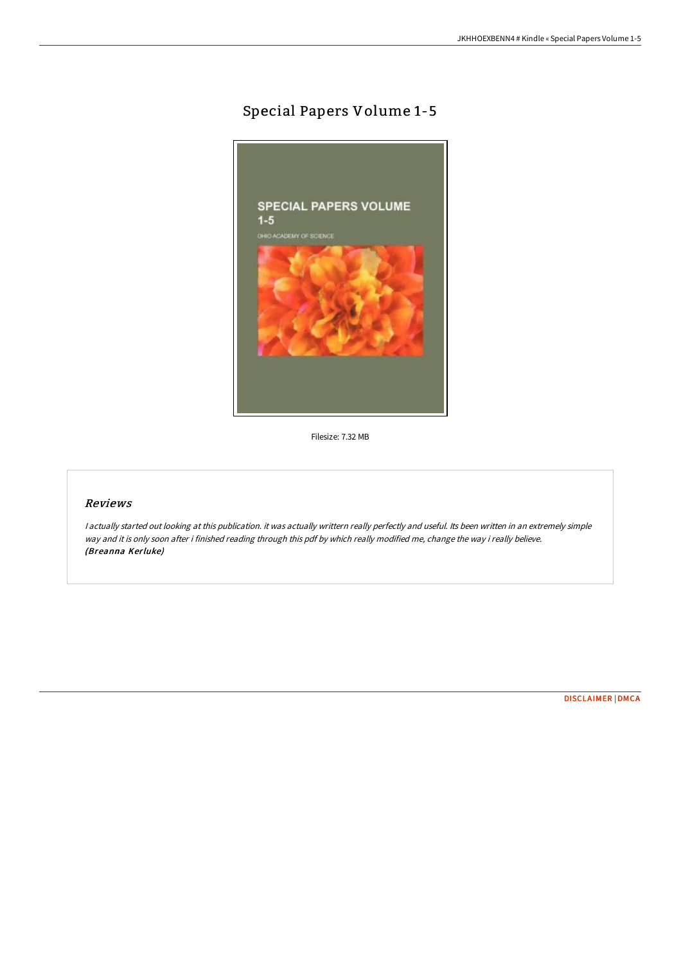## Special Papers Volume 1-5



Filesize: 7.32 MB

## Reviews

<sup>I</sup> actually started out looking at this publication. it was actually writtern really perfectly and useful. Its been written in an extremely simple way and it is only soon after i finished reading through this pdf by which really modified me, change the way i really believe. (Breanna Kerluke)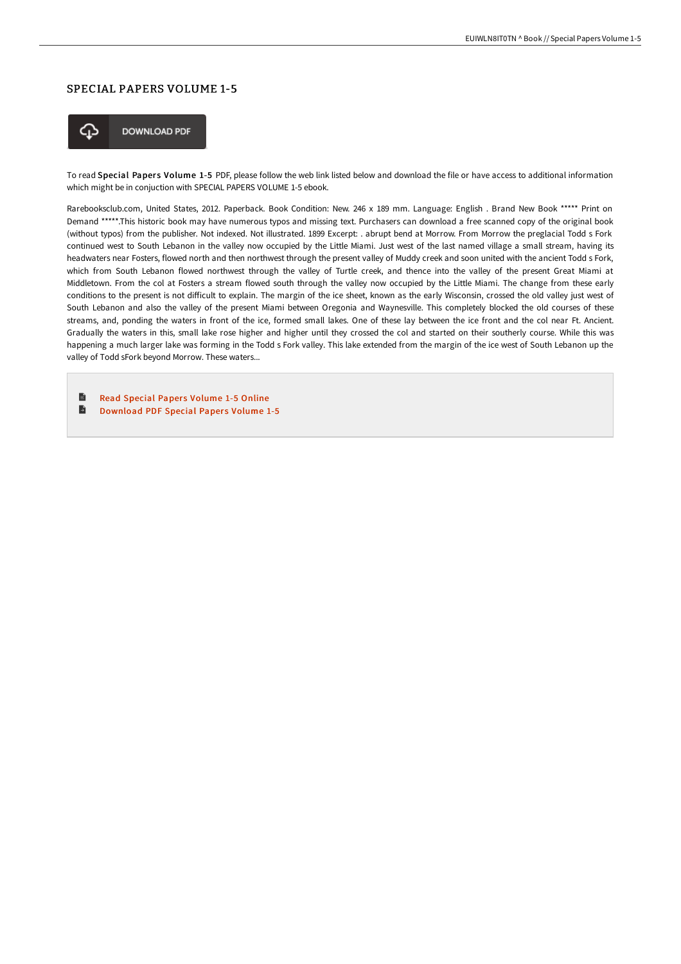## SPECIAL PAPERS VOLUME 1-5



To read Special Papers Volume 1-5 PDF, please follow the web link listed below and download the file or have access to additional information which might be in conjuction with SPECIAL PAPERS VOLUME 1-5 ebook.

Rarebooksclub.com, United States, 2012. Paperback. Book Condition: New. 246 x 189 mm. Language: English . Brand New Book \*\*\*\*\* Print on Demand \*\*\*\*\*.This historic book may have numerous typos and missing text. Purchasers can download a free scanned copy of the original book (without typos) from the publisher. Not indexed. Not illustrated. 1899 Excerpt: . abrupt bend at Morrow. From Morrow the preglacial Todd s Fork continued west to South Lebanon in the valley now occupied by the Little Miami. Just west of the last named village a small stream, having its headwaters near Fosters, flowed north and then northwest through the present valley of Muddy creek and soon united with the ancient Todd s Fork, which from South Lebanon flowed northwest through the valley of Turtle creek, and thence into the valley of the present Great Miami at Middletown. From the col at Fosters a stream flowed south through the valley now occupied by the Little Miami. The change from these early conditions to the present is not difficult to explain. The margin of the ice sheet, known as the early Wisconsin, crossed the old valley just west of South Lebanon and also the valley of the present Miami between Oregonia and Waynesville. This completely blocked the old courses of these streams, and, ponding the waters in front of the ice, formed small lakes. One of these lay between the ice front and the col near Ft. Ancient. Gradually the waters in this, small lake rose higher and higher until they crossed the col and started on their southerly course. While this was happening a much larger lake was forming in the Todd s Fork valley. This lake extended from the margin of the ice west of South Lebanon up the valley of Todd sFork beyond Morrow. These waters...

B Read Special Papers [Volume](http://www.bookdirs.com/special-papers-volume-1-5-paperback.html) 1-5 Online  $\blacksquare$ [Download](http://www.bookdirs.com/special-papers-volume-1-5-paperback.html) PDF Special Papers Volume 1-5